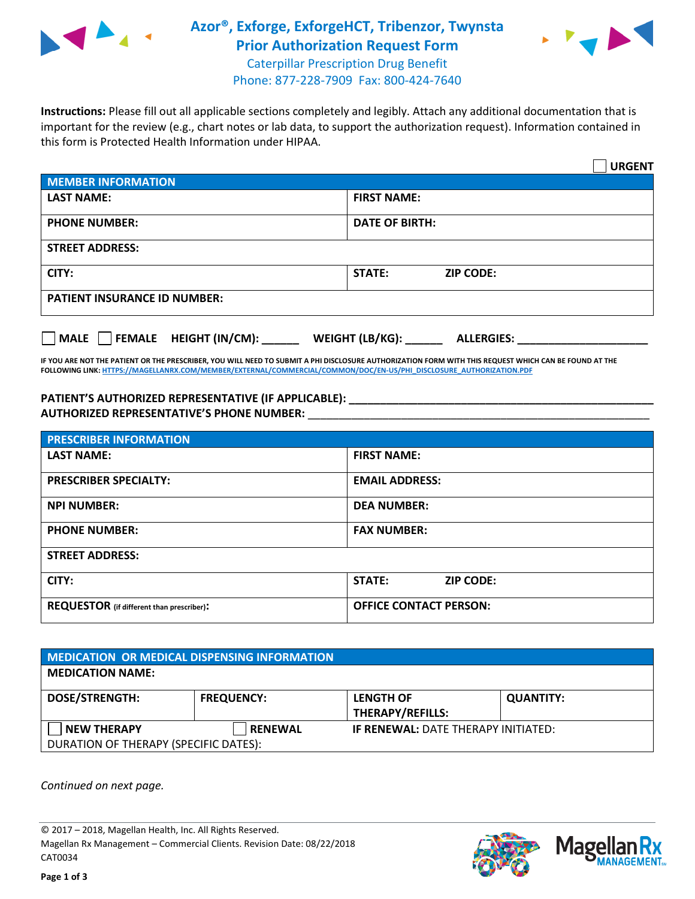

## **Azor®, Exforge, ExforgeHCT, Tribenzor, Twynsta Prior Authorization Request Form**



Caterpillar Prescription Drug Benefit Phone: 877-228-7909 Fax: 800-424-7640

**Instructions:** Please fill out all applicable sections completely and legibly. Attach any additional documentation that is important for the review (e.g., chart notes or lab data, to support the authorization request). Information contained in this form is Protected Health Information under HIPAA.

|                                           | <b>URGENT</b>                        |  |  |  |
|-------------------------------------------|--------------------------------------|--|--|--|
| <b>MEMBER INFORMATION</b>                 |                                      |  |  |  |
| <b>LAST NAME:</b>                         | <b>FIRST NAME:</b>                   |  |  |  |
| <b>PHONE NUMBER:</b>                      | <b>DATE OF BIRTH:</b>                |  |  |  |
| <b>STREET ADDRESS:</b>                    |                                      |  |  |  |
| CITY:                                     | <b>STATE:</b><br><b>ZIP CODE:</b>    |  |  |  |
| <b>PATIENT INSURANCE ID NUMBER:</b>       |                                      |  |  |  |
| $\Box$ FEMALE HEIGHT (IN/CM): _<br>  MALE | WEIGHT (LB/KG):<br><b>ALLERGIES:</b> |  |  |  |

**IF YOU ARE NOT THE PATIENT OR THE PRESCRIBER, YOU WILL NEED TO SUBMIT A PHI DISCLOSURE AUTHORIZATION FORM WITH THIS REQUEST WHICH CAN BE FOUND AT THE FOLLOWING LINK[: HTTPS://MAGELLANRX.COM/MEMBER/EXTERNAL/COMMERCIAL/COMMON/DOC/EN-US/PHI\\_DISCLOSURE\\_AUTHORIZATION.PDF](https://magellanrx.com/member/external/commercial/common/doc/en-us/PHI_Disclosure_Authorization.pdf)**

**PATIENT'S AUTHORIZED REPRESENTATIVE (IF APPLICABLE): \_\_\_\_\_\_\_\_\_\_\_\_\_\_\_\_\_\_\_\_\_\_\_\_\_\_\_\_\_\_\_\_\_\_\_\_\_\_\_\_\_\_\_\_\_\_\_\_\_ AUTHORIZED REPRESENTATIVE'S PHONE NUMBER:** \_\_\_\_\_\_\_\_\_\_\_\_\_\_\_\_\_\_\_\_\_\_\_\_\_\_\_\_\_\_\_\_\_\_\_\_\_\_\_\_\_\_\_\_\_\_\_\_\_\_\_\_\_\_\_

| <b>PRESCRIBER INFORMATION</b>             |                               |  |  |
|-------------------------------------------|-------------------------------|--|--|
| <b>LAST NAME:</b>                         | <b>FIRST NAME:</b>            |  |  |
| <b>PRESCRIBER SPECIALTY:</b>              | <b>EMAIL ADDRESS:</b>         |  |  |
| <b>NPI NUMBER:</b>                        | <b>DEA NUMBER:</b>            |  |  |
| <b>PHONE NUMBER:</b>                      | <b>FAX NUMBER:</b>            |  |  |
| <b>STREET ADDRESS:</b>                    |                               |  |  |
| CITY:                                     | STATE:<br><b>ZIP CODE:</b>    |  |  |
| REQUESTOR (if different than prescriber): | <b>OFFICE CONTACT PERSON:</b> |  |  |

| MEDICATION OR MEDICAL DISPENSING INFORMATION |                   |                                            |                  |  |  |
|----------------------------------------------|-------------------|--------------------------------------------|------------------|--|--|
| <b>MEDICATION NAME:</b>                      |                   |                                            |                  |  |  |
| <b>DOSE/STRENGTH:</b>                        | <b>FREQUENCY:</b> | <b>LENGTH OF</b>                           | <b>QUANTITY:</b> |  |  |
|                                              |                   | THERAPY/REFILLS:                           |                  |  |  |
| <b>NEW THERAPY</b>                           | <b>RENEWAL</b>    | <b>IF RENEWAL: DATE THERAPY INITIATED:</b> |                  |  |  |
| DURATION OF THERAPY (SPECIFIC DATES):        |                   |                                            |                  |  |  |

*Continued on next page.*

© 2017 – 2018, Magellan Health, Inc. All Rights Reserved. Magellan Rx Management – Commercial Clients. Revision Date: 08/22/2018 CAT0034



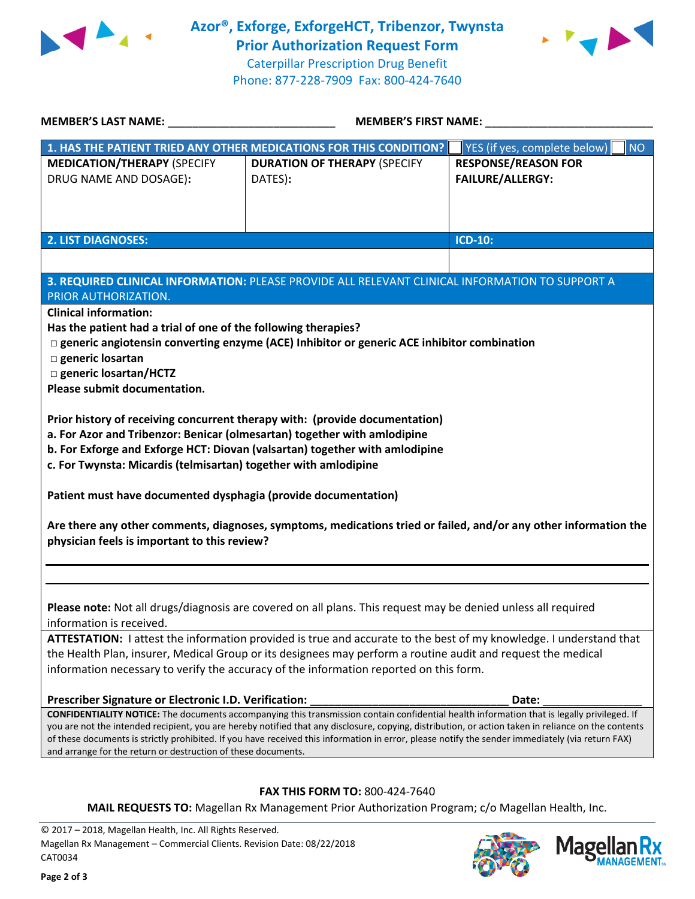



Caterpillar Prescription Drug Benefit Phone: 877-228-7909 Fax: 800-424-7640

| <b>MEMBER'S LAST NAME:</b>                                                                                                                                                                                                                                                                                                                                                                                                                                                                                                                                                                                                                                                                                                                                                                                                                                                                                                                                                | <b>MEMBER'S FIRST NAME:</b>                                                                     |                                                       |  |  |
|---------------------------------------------------------------------------------------------------------------------------------------------------------------------------------------------------------------------------------------------------------------------------------------------------------------------------------------------------------------------------------------------------------------------------------------------------------------------------------------------------------------------------------------------------------------------------------------------------------------------------------------------------------------------------------------------------------------------------------------------------------------------------------------------------------------------------------------------------------------------------------------------------------------------------------------------------------------------------|-------------------------------------------------------------------------------------------------|-------------------------------------------------------|--|--|
|                                                                                                                                                                                                                                                                                                                                                                                                                                                                                                                                                                                                                                                                                                                                                                                                                                                                                                                                                                           | 1. HAS THE PATIENT TRIED ANY OTHER MEDICATIONS FOR THIS CONDITION?                              | YES (if yes, complete below)<br><b>NO</b>             |  |  |
| <b>MEDICATION/THERAPY (SPECIFY</b><br>DRUG NAME AND DOSAGE):                                                                                                                                                                                                                                                                                                                                                                                                                                                                                                                                                                                                                                                                                                                                                                                                                                                                                                              | <b>DURATION OF THERAPY (SPECIFY</b><br>DATES):                                                  | <b>RESPONSE/REASON FOR</b><br><b>FAILURE/ALLERGY:</b> |  |  |
| <b>2. LIST DIAGNOSES:</b>                                                                                                                                                                                                                                                                                                                                                                                                                                                                                                                                                                                                                                                                                                                                                                                                                                                                                                                                                 |                                                                                                 | <b>ICD-10:</b>                                        |  |  |
|                                                                                                                                                                                                                                                                                                                                                                                                                                                                                                                                                                                                                                                                                                                                                                                                                                                                                                                                                                           |                                                                                                 |                                                       |  |  |
| 3. REQUIRED CLINICAL INFORMATION: PLEASE PROVIDE ALL RELEVANT CLINICAL INFORMATION TO SUPPORT A<br><b>PRIOR AUTHORIZATION.</b><br><b>Clinical information:</b><br>Has the patient had a trial of one of the following therapies?<br>$\Box$ generic angiotensin converting enzyme (ACE) Inhibitor or generic ACE inhibitor combination<br>□ generic losartan<br>□ generic losartan/HCTZ<br>Please submit documentation.<br>Prior history of receiving concurrent therapy with: (provide documentation)<br>a. For Azor and Tribenzor: Benicar (olmesartan) together with amlodipine<br>b. For Exforge and Exforge HCT: Diovan (valsartan) together with amlodipine<br>c. For Twynsta: Micardis (telmisartan) together with amlodipine<br>Patient must have documented dysphagia (provide documentation)<br>Are there any other comments, diagnoses, symptoms, medications tried or failed, and/or any other information the<br>physician feels is important to this review? |                                                                                                 |                                                       |  |  |
|                                                                                                                                                                                                                                                                                                                                                                                                                                                                                                                                                                                                                                                                                                                                                                                                                                                                                                                                                                           |                                                                                                 |                                                       |  |  |
|                                                                                                                                                                                                                                                                                                                                                                                                                                                                                                                                                                                                                                                                                                                                                                                                                                                                                                                                                                           |                                                                                                 |                                                       |  |  |
| Please note: Not all drugs/diagnosis are covered on all plans. This request may be denied unless all required<br>information is received.                                                                                                                                                                                                                                                                                                                                                                                                                                                                                                                                                                                                                                                                                                                                                                                                                                 |                                                                                                 |                                                       |  |  |
| ATTESTATION: I attest the information provided is true and accurate to the best of my knowledge. I understand that<br>the Health Plan, insurer, Medical Group or its designees may perform a routine audit and request the medical<br>information necessary to verify the accuracy of the information reported on this form.                                                                                                                                                                                                                                                                                                                                                                                                                                                                                                                                                                                                                                              |                                                                                                 |                                                       |  |  |
| Prescriber Signature or Electronic I.D. Verification:                                                                                                                                                                                                                                                                                                                                                                                                                                                                                                                                                                                                                                                                                                                                                                                                                                                                                                                     |                                                                                                 | Date:                                                 |  |  |
| <b>CONFIDENTIALITY NOTICE:</b> The documents accompanying this transmission contain confidential health information that is legally privileged. If<br>you are not the intended recipient, you are hereby notified that any disclosure, copying, distribution, or action taken in reliance on the contents<br>of these documents is strictly prohibited. If you have received this information in error, please notify the sender immediately (via return FAX)<br>and arrange for the return or destruction of these documents.                                                                                                                                                                                                                                                                                                                                                                                                                                            |                                                                                                 |                                                       |  |  |
|                                                                                                                                                                                                                                                                                                                                                                                                                                                                                                                                                                                                                                                                                                                                                                                                                                                                                                                                                                           |                                                                                                 |                                                       |  |  |
| FAX THIS FORM TO: 800-424-7640                                                                                                                                                                                                                                                                                                                                                                                                                                                                                                                                                                                                                                                                                                                                                                                                                                                                                                                                            |                                                                                                 |                                                       |  |  |
|                                                                                                                                                                                                                                                                                                                                                                                                                                                                                                                                                                                                                                                                                                                                                                                                                                                                                                                                                                           | MAIL REQUESTS TO: Magellan Rx Management Prior Authorization Program; c/o Magellan Health, Inc. |                                                       |  |  |

© 2017 – 2018, Magellan Health, Inc. All Rights Reserved. Magellan Rx Management – Commercial Clients. Revision Date: 08/22/2018 CAT0034



**ANAGEMENT**